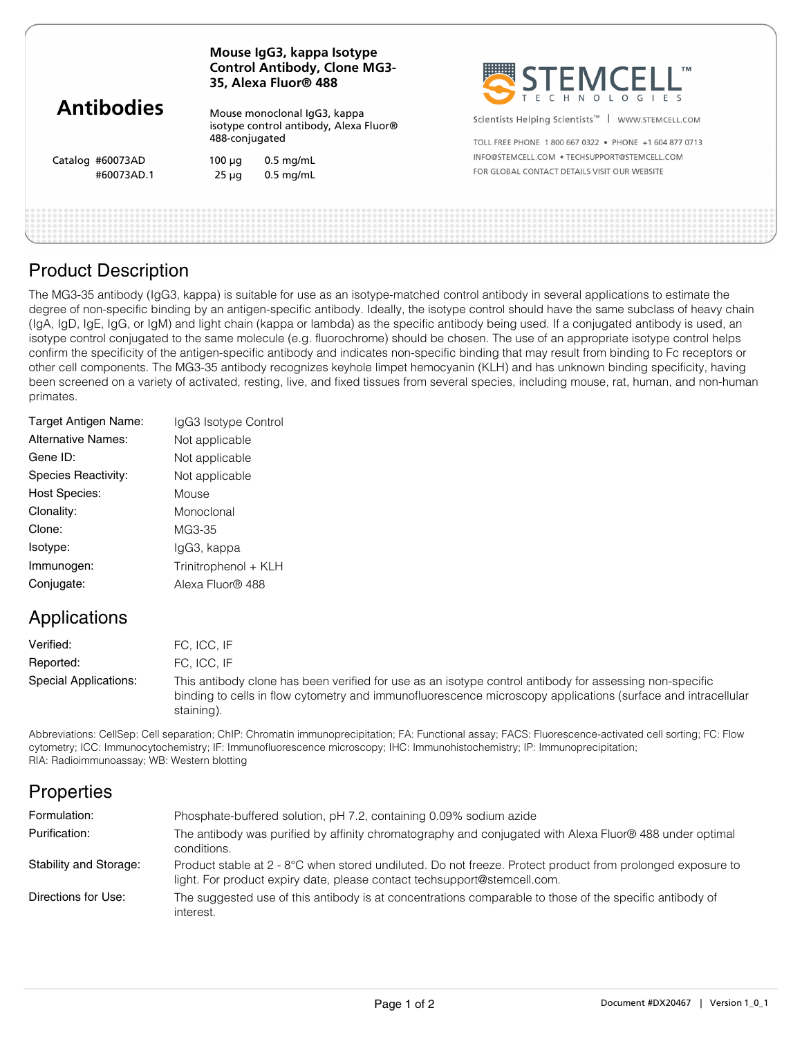| <b>Antibodies</b>              | Mouse IgG3, kappa Isotype<br><b>Control Antibody, Clone MG3-</b><br>35, Alexa Fluor® 488 |                                                                        | STEMCELL"                                                                                                                 |  |
|--------------------------------|------------------------------------------------------------------------------------------|------------------------------------------------------------------------|---------------------------------------------------------------------------------------------------------------------------|--|
|                                | 488-conjugated                                                                           | Mouse monoclonal IgG3, kappa<br>isotype control antibody, Alexa Fluor® | Scientists Helping Scientists <sup>™</sup>  <br>WWW.STEMCELL.COM<br>TOLL FREE PHONE 1800 667 0322 • PHONE +1 604 877 0713 |  |
| Catalog #60073AD<br>#60073AD.1 | $100 \mu q$<br>$25 \mu g$                                                                | $0.5$ mg/mL<br>$0.5$ mg/mL                                             | INFO@STEMCELL.COM . TECHSUPPORT@STEMCELL.COM<br>FOR GLOBAL CONTACT DETAILS VISIT OUR WEBSITE                              |  |
|                                |                                                                                          |                                                                        |                                                                                                                           |  |

## Product Description

The MG3-35 antibody (IgG3, kappa) is suitable for use as an isotype-matched control antibody in several applications to estimate the degree of non-specific binding by an antigen-specific antibody. Ideally, the isotype control should have the same subclass of heavy chain (IgA, IgD, IgE, IgG, or IgM) and light chain (kappa or lambda) as the specific antibody being used. If a conjugated antibody is used, an isotype control conjugated to the same molecule (e.g. fluorochrome) should be chosen. The use of an appropriate isotype control helps confirm the specificity of the antigen-specific antibody and indicates non-specific binding that may result from binding to Fc receptors or other cell components. The MG3-35 antibody recognizes keyhole limpet hemocyanin (KLH) and has unknown binding specificity, having been screened on a variety of activated, resting, live, and fixed tissues from several species, including mouse, rat, human, and non-human primates.

| Target Antigen Name:      | IgG3 Isotype Control |
|---------------------------|----------------------|
| <b>Alternative Names:</b> | Not applicable       |
| Gene ID:                  | Not applicable       |
| Species Reactivity:       | Not applicable       |
| <b>Host Species:</b>      | Mouse                |
| Clonality:                | Monoclonal           |
| Clone:                    | MG3-35               |
| Isotype:                  | lgG3, kappa          |
| Immunogen:                | Trinitrophenol + KLH |
| Conjugate:                | Alexa Fluor® 488     |
|                           |                      |

## Applications

| Verified:             | FC. ICC. IF                                                                                                                                                                                                                           |
|-----------------------|---------------------------------------------------------------------------------------------------------------------------------------------------------------------------------------------------------------------------------------|
| Reported:             | FC. ICC. IF                                                                                                                                                                                                                           |
| Special Applications: | This antibody clone has been verified for use as an isotype control antibody for assessing non-specific<br>binding to cells in flow cytometry and immunofluorescence microscopy applications (surface and intracellular<br>staining). |

Abbreviations: CellSep: Cell separation; ChIP: Chromatin immunoprecipitation; FA: Functional assay; FACS: Fluorescence-activated cell sorting; FC: Flow cytometry; ICC: Immunocytochemistry; IF: Immunofluorescence microscopy; IHC: Immunohistochemistry; IP: Immunoprecipitation; RIA: Radioimmunoassay; WB: Western blotting

| Formulation:           | Phosphate-buffered solution, pH 7.2, containing 0.09% sodium azide                                                                                                                     |
|------------------------|----------------------------------------------------------------------------------------------------------------------------------------------------------------------------------------|
| Purification:          | The antibody was purified by affinity chromatography and conjugated with Alexa Fluor® 488 under optimal<br>conditions.                                                                 |
| Stability and Storage: | Product stable at 2 - 8°C when stored undiluted. Do not freeze. Protect product from prolonged exposure to<br>light. For product expiry date, please contact techsupport@stemcell.com. |
| Directions for Use:    | The suggested use of this antibody is at concentrations comparable to those of the specific antibody of<br>interest.                                                                   |